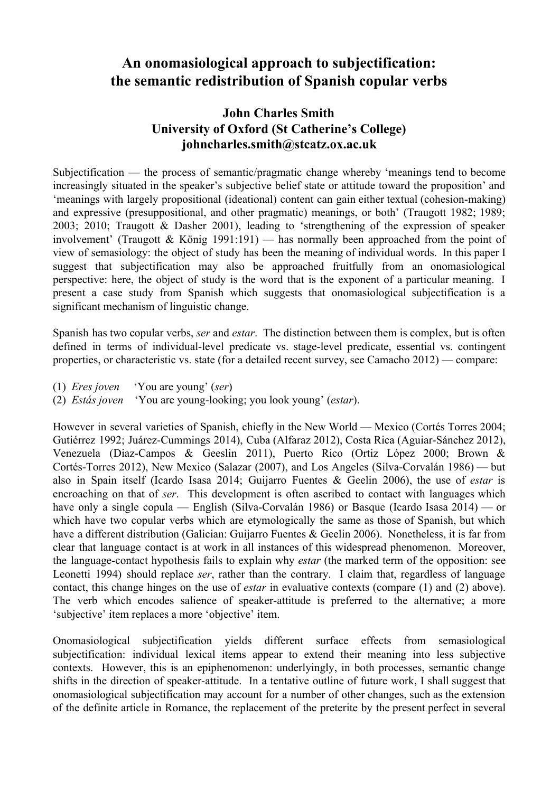## **An onomasiological approach to subjectification: the semantic redistribution of Spanish copular verbs**

## **John Charles Smith University of Oxford (St Catherine's College) johncharles.smith@stcatz.ox.ac.uk**

Subjectification — the process of semantic/pragmatic change whereby 'meanings tend to become increasingly situated in the speaker's subjective belief state or attitude toward the proposition' and 'meanings with largely propositional (ideational) content can gain either textual (cohesion-making) and expressive (presuppositional, and other pragmatic) meanings, or both' (Traugott 1982; 1989; 2003; 2010; Traugott & Dasher 2001), leading to 'strengthening of the expression of speaker involvement' (Traugott & König 1991:191) — has normally been approached from the point of view of semasiology: the object of study has been the meaning of individual words. In this paper I suggest that subjectification may also be approached fruitfully from an onomasiological perspective: here, the object of study is the word that is the exponent of a particular meaning. I present a case study from Spanish which suggests that onomasiological subjectification is a significant mechanism of linguistic change.

Spanish has two copular verbs, *ser* and *estar*. The distinction between them is complex, but is often defined in terms of individual-level predicate vs. stage-level predicate, essential vs. contingent properties, or characteristic vs. state (for a detailed recent survey, see Camacho 2012) — compare:

- (1) *Eres joven* 'You are young' (*ser*)
- (2) *Estás joven* 'You are young-looking; you look young' (*estar*).

However in several varieties of Spanish, chiefly in the New World — Mexico (Cortés Torres 2004; Gutiérrez 1992; Juárez-Cummings 2014), Cuba (Alfaraz 2012), Costa Rica (Aguiar-Sánchez 2012), Venezuela (Diaz-Campos & Geeslin 2011), Puerto Rico (Ortiz López 2000; Brown & Cortés-Torres 2012), New Mexico (Salazar (2007), and Los Angeles (Silva-Corvalán 1986) — but also in Spain itself (Icardo Isasa 2014; Guijarro Fuentes & Geelin 2006), the use of *estar* is encroaching on that of *ser*. This development is often ascribed to contact with languages which have only a single copula — English (Silva-Corvalán 1986) or Basque (Icardo Isasa 2014) — or which have two copular verbs which are etymologically the same as those of Spanish, but which have a different distribution (Galician: Guijarro Fuentes & Geelin 2006). Nonetheless, it is far from clear that language contact is at work in all instances of this widespread phenomenon. Moreover, the language-contact hypothesis fails to explain why *estar* (the marked term of the opposition: see Leonetti 1994) should replace *ser*, rather than the contrary. I claim that, regardless of language contact, this change hinges on the use of *estar* in evaluative contexts (compare (1) and (2) above). The verb which encodes salience of speaker-attitude is preferred to the alternative; a more 'subjective' item replaces a more 'objective' item.

Onomasiological subjectification yields different surface effects from semasiological subjectification: individual lexical items appear to extend their meaning into less subjective contexts. However, this is an epiphenomenon: underlyingly, in both processes, semantic change shifts in the direction of speaker-attitude. In a tentative outline of future work, I shall suggest that onomasiological subjectification may account for a number of other changes, such as the extension of the definite article in Romance, the replacement of the preterite by the present perfect in several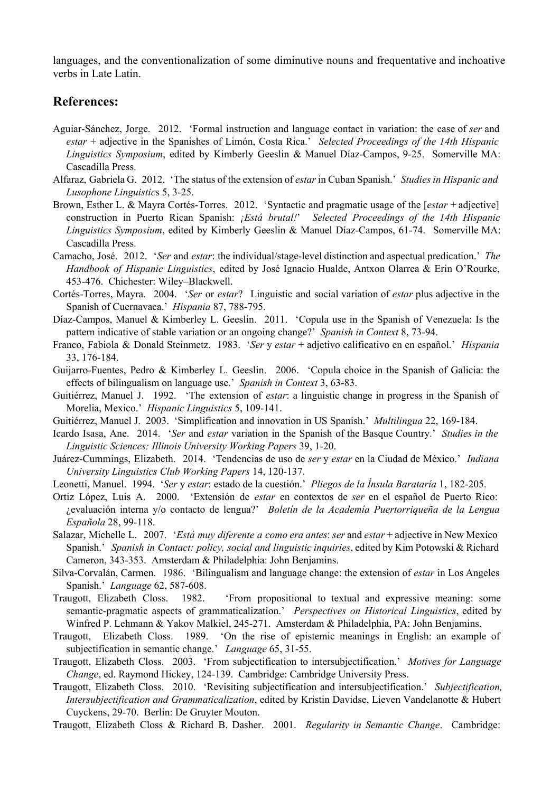languages, and the conventionalization of some diminutive nouns and frequentative and inchoative verbs in Late Latin.

## **References:**

- AguiarSánchez, Jorge. 2012. 'Formal instruction and language contact in variation: the case of *ser* and *estar* + adjective in the Spanishes of Limón, Costa Rica.' *Selected Proceedings of the 14th Hispanic Linguistics Symposium*, edited by Kimberly Geeslin & Manuel Díaz-Campos, 9-25. Somerville MA: Cascadilla Press.
- Alfaraz, Gabriela G. 2012. 'The status of the extension of *estar* in Cuban Spanish.' *Studies in Hispanic and Lusophone Linguistics* 5, 3-25.
- Brown, Esther L. & Mayra Cortés-Torres. 2012. 'Syntactic and pragmatic usage of the [*estar* + adjective] construction in Puerto Rican Spanish: *¡Está brutal!*' *Selected Proceedings of the 14th Hispanic Linguistics Symposium*, edited by Kimberly Geeslin & Manuel Díaz-Campos, 61-74. Somerville MA: Cascadilla Press.
- Camacho, José. 2012. '*Ser* and *estar*: the individual/stage-level distinction and aspectual predication.' The *Handbook of Hispanic Linguistics*, edited by José Ignacio Hualde, Antxon Olarrea & Erin O'Rourke, 453476. Chichester: Wiley–Blackwell.
- Cortés-Torres, Mayra. 2004. '*Ser* or *estar*? Linguistic and social variation of *estar* plus adjective in the Spanish of Cuernavaca.' Hispania 87, 788-795.
- Díaz-Campos, Manuel & Kimberley L. Geeslin. 2011. 'Copula use in the Spanish of Venezuela: Is the pattern indicative of stable variation or an ongoing change?' *Spanish in Context* 8, 73-94.
- Franco, Fabiola & Donald Steinmetz. 1983. '*Ser* y *estar* + adjetivo calificativo en en español.' *Hispania* 33, 176-184.
- Guijarro-Fuentes, Pedro & Kimberley L. Geeslin. 2006. 'Copula choice in the Spanish of Galicia: the effects of bilingualism on language use.' *Spanish in Context* 3, 63-83.
- Guitiérrez, Manuel J. 1992. 'The extension of *estar*: a linguistic change in progress in the Spanish of Morelia, Mexico.' Hispanic Linguistics 5, 109-141.
- Guitiérrez, Manuel J. 2003. 'Simplification and innovation in US Spanish.' *Multilingua* 22, 169-184.
- Icardo Isasa, Ane. 2014. '*Ser* and *estar* variation in the Spanish of the Basque Country.' *Studies in the Linguistic Sciences: Illinois University Working Papers* 39, 1-20.
- JuárezCummings, Elizabeth. 2014. 'Tendencias de uso de *ser* y *estar* en la Ciudad de México.' *Indiana University Linguistics Club Working Papers* 14, 120-137.
- Leonetti, Manuel. 1994. '*Ser y estar*: estado de la cuestión.' *Pliegos de la Ínsula Barataría* 1, 182-205.
- Ortiz López, Luis A. 2000. 'Extensión de *estar* en contextos de *ser* en el español de Puerto Rico: ¿evaluación interna y/o contacto de lengua?' *Boletín de la Academía Puertorriqueña de la Lengua Española* 28, 99118.
- Salazar, Michelle L. 2007. '*Está muy diferente a como era antes*: *ser* and *estar* + adjective in New Mexico Spanish.' *Spanish in Contact: policy, social and linguistic inquiries*, edited by Kim Potowski & Richard Cameron, 343-353. Amsterdam & Philadelphia: John Benjamins.
- SilvaCorvalán, Carmen. 1986. 'Bilingualism and language change: the extension of *estar* in Los Angeles Spanish.' *Language* 62, 587-608.
- Traugott, Elizabeth Closs. 1982. 'From propositional to textual and expressive meaning: some semantic-pragmatic aspects of grammaticalization.' *Perspectives on Historical Linguistics*, edited by Winfred P. Lehmann & Yakov Malkiel, 245-271. Amsterdam & Philadelphia, PA: John Benjamins.
- Traugott, Elizabeth Closs. 1989. 'On the rise of epistemic meanings in English: an example of subjectification in semantic change.' *Language* 65, 31-55.
- Traugott, Elizabeth Closs. 2003. 'From subjectification to intersubjectification.' *Motives for Language Change*, ed. Raymond Hickey, 124139. Cambridge: Cambridge University Press.
- Traugott, Elizabeth Closs. 2010. 'Revisiting subjectification and intersubjectification.' *Subjectification, Intersubjectification and Grammaticalization*, edited by Kristin Davidse, Lieven Vandelanotte & Hubert Cuyckens, 29-70. Berlin: De Gruyter Mouton.
- Traugott, Elizabeth Closs & Richard B. Dasher. 2001. *Regularity in Semantic Change*. Cambridge: